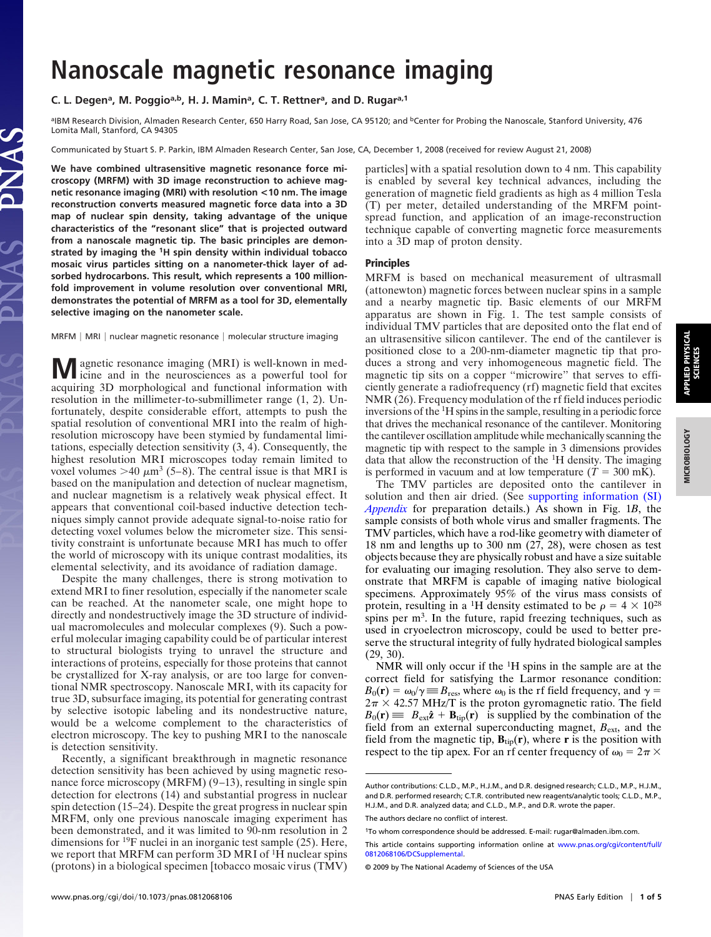# **Nanoscale magnetic resonance imaging**

## C. L. Degen<sup>a</sup>, M. Poggio<sup>a,b</sup>, H. J. Mamin<sup>a</sup>, C. T. Rettner<sup>a</sup>, and D. Rugar<sup>a,1</sup>

aIBM Research Division, Almaden Research Center, 650 Harry Road, San Jose, CA 95120; and <sup>b</sup>Center for Probing the Nanoscale, Stanford University, 476 Lomita Mall, Stanford, CA 94305

Communicated by Stuart S. P. Parkin, IBM Almaden Research Center, San Jose, CA, December 1, 2008 (received for review August 21, 2008)

**We have combined ultrasensitive magnetic resonance force microscopy (MRFM) with 3D image reconstruction to achieve magnetic resonance imaging (MRI) with resolution <10 nm. The image reconstruction converts measured magnetic force data into a 3D map of nuclear spin density, taking advantage of the unique characteristics of the "resonant slice" that is projected outward from a nanoscale magnetic tip. The basic principles are demonstrated by imaging the 1H spin density within individual tobacco mosaic virus particles sitting on a nanometer-thick layer of adsorbed hydrocarbons. This result, which represents a 100 millionfold improvement in volume resolution over conventional MRI, demonstrates the potential of MRFM as a tool for 3D, elementally selective imaging on the nanometer scale.**

MRFM | MRI | nuclear magnetic resonance | molecular structure imaging

**M** agnetic resonance imaging (MRI) is well-known in med-<br>icine and in the neurosciences as a powerful tool for acquiring 3D morphological and functional information with resolution in the millimeter-to-submillimeter range (1, 2). Unfortunately, despite considerable effort, attempts to push the spatial resolution of conventional MRI into the realm of highresolution microscopy have been stymied by fundamental limitations, especially detection sensitivity (3, 4). Consequently, the highest resolution MRI microscopes today remain limited to voxel volumes  $>40 \mu m^3$  (5–8). The central issue is that MRI is based on the manipulation and detection of nuclear magnetism, and nuclear magnetism is a relatively weak physical effect. It appears that conventional coil-based inductive detection techniques simply cannot provide adequate signal-to-noise ratio for detecting voxel volumes below the micrometer size. This sensitivity constraint is unfortunate because MRI has much to offer the world of microscopy with its unique contrast modalities, its elemental selectivity, and its avoidance of radiation damage.

Despite the many challenges, there is strong motivation to extend MRI to finer resolution, especially if the nanometer scale can be reached. At the nanometer scale, one might hope to directly and nondestructively image the 3D structure of individual macromolecules and molecular complexes (9). Such a powerful molecular imaging capability could be of particular interest to structural biologists trying to unravel the structure and interactions of proteins, especially for those proteins that cannot be crystallized for X-ray analysis, or are too large for conventional NMR spectroscopy. Nanoscale MRI, with its capacity for true 3D, subsurface imaging, its potential for generating contrast by selective isotopic labeling and its nondestructive nature, would be a welcome complement to the characteristics of electron microscopy. The key to pushing MRI to the nanoscale is detection sensitivity.

Recently, a significant breakthrough in magnetic resonance detection sensitivity has been achieved by using magnetic resonance force microscopy (MRFM) (9–13), resulting in single spin detection for electrons (14) and substantial progress in nuclear spin detection (15–24). Despite the great progress in nuclear spin MRFM, only one previous nanoscale imaging experiment has been demonstrated, and it was limited to 90-nm resolution in 2 dimensions for 19F nuclei in an inorganic test sample (25). Here, we report that MRFM can perform 3D MRI of <sup>1</sup>H nuclear spins (protons) in a biological specimen [tobacco mosaic virus (TMV) particles] with a spatial resolution down to 4 nm. This capability is enabled by several key technical advances, including the generation of magnetic field gradients as high as 4 million Tesla (T) per meter, detailed understanding of the MRFM pointspread function, and application of an image-reconstruction technique capable of converting magnetic force measurements into a 3D map of proton density.

#### **Principles**

MRFM is based on mechanical measurement of ultrasmall (attonewton) magnetic forces between nuclear spins in a sample and a nearby magnetic tip. Basic elements of our MRFM apparatus are shown in Fig. 1. The test sample consists of individual TMV particles that are deposited onto the flat end of an ultrasensitive silicon cantilever. The end of the cantilever is positioned close to a 200-nm-diameter magnetic tip that produces a strong and very inhomogeneous magnetic field. The magnetic tip sits on a copper ''microwire'' that serves to efficiently generate a radiofrequency (rf) magnetic field that excites NMR (26). Frequency modulation of the rf field induces periodic inversions of the <sup>1</sup> H spins in the sample, resulting in a periodic force that drives the mechanical resonance of the cantilever. Monitoring the cantilever oscillation amplitude while mechanically scanning the magnetic tip with respect to the sample in 3 dimensions provides data that allow the reconstruction of the <sup>1</sup> H density. The imaging is performed in vacuum and at low temperature  $(T = 300 \text{ mK})$ .

The TMV particles are deposited onto the cantilever in solution and then air dried. (See [supporting information \(SI\)](http://www.pnas.org/cgi/data/0812068106/DCSupplemental/Appendix_PDF) *[Appendix](http://www.pnas.org/cgi/data/0812068106/DCSupplemental/Appendix_PDF)* for preparation details.) As shown in Fig. 1*B*, the sample consists of both whole virus and smaller fragments. The TMV particles, which have a rod-like geometry with diameter of 18 nm and lengths up to 300 nm (27, 28), were chosen as test objects because they are physically robust and have a size suitable for evaluating our imaging resolution. They also serve to demonstrate that MRFM is capable of imaging native biological specimens. Approximately 95% of the virus mass consists of protein, resulting in a <sup>1</sup>H density estimated to be  $\rho = 4 \times 10^{28}$ spins per  $m<sup>3</sup>$ . In the future, rapid freezing techniques, such as used in cryoelectron microscopy, could be used to better preserve the structural integrity of fully hydrated biological samples (29, 30).

NMR will only occur if the 1H spins in the sample are at the correct field for satisfying the Larmor resonance condition:  $B_0(\mathbf{r}) = \omega_0/\gamma \equiv B_{\text{res}}$ , where  $\omega_0$  is the rf field frequency, and  $\gamma =$  $2\pi \times 42.57$  MHz/T is the proton gyromagnetic ratio. The field  $B_0(\mathbf{r}) \equiv |B_{\text{ext}}\hat{\mathbf{z}} + \mathbf{B}_{\text{tip}}(\mathbf{r})|$  is supplied by the combination of the field from an external superconducting magnet, *B*ext, and the field from the magnetic tip,  $B_{\text{tip}}(r)$ , where r is the position with respect to the tip apex. For an rf center frequency of  $\omega_0 = 2\pi \times$ 

**SCIENCES**

Author contributions: C.L.D., M.P., H.J.M., and D.R. designed research; C.L.D., M.P., H.J.M., and D.R. performed research; C.T.R. contributed new reagents/analytic tools; C.L.D., M.P., H.J.M., and D.R. analyzed data; and C.L.D., M.P., and D.R. wrote the paper.

The authors declare no conflict of interest.

<sup>1</sup>To whom correspondence should be addressed. E-mail: rugar@almaden.ibm.com.

This article contains supporting information online at [www.pnas.org/cgi/content/full/](http://www.pnas.org/cgi/content/full/0812068106/DCSupplemental) [0812068106/DCSupplemental.](http://www.pnas.org/cgi/content/full/0812068106/DCSupplemental)

<sup>© 2009</sup> by The National Academy of Sciences of the USA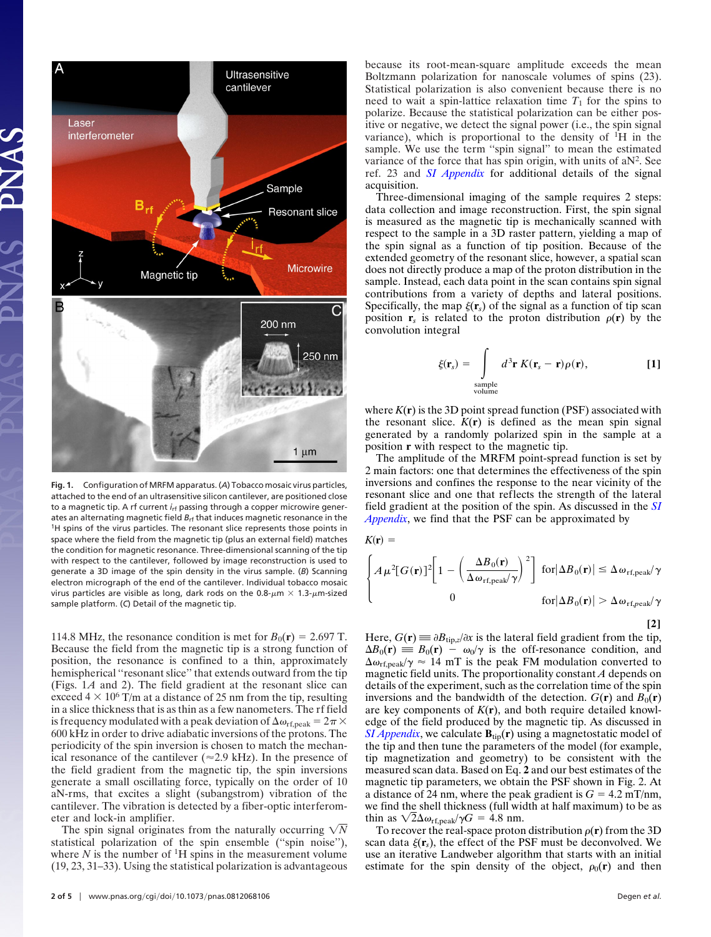

**Fig. 1.** Configuration of MRFM apparatus. (*A*) Tobacco mosaic virus particles, attached to the end of an ultrasensitive silicon cantilever, are positioned close to a magnetic tip. A rf current *i*<sub>rf</sub> passing through a copper microwire generates an alternating magnetic field  $B_{rf}$  that induces magnetic resonance in the <sup>1</sup>H spins of the virus particles. The resonant slice represents those points in space where the field from the magnetic tip (plus an external field) matches the condition for magnetic resonance. Three-dimensional scanning of the tip with respect to the cantilever, followed by image reconstruction is used to generate a 3D image of the spin density in the virus sample. (*B*) Scanning electron micrograph of the end of the cantilever. Individual tobacco mosaic virus particles are visible as long, dark rods on the 0.8- $\mu$ m × 1.3- $\mu$ m-sized sample platform. (*C*) Detail of the magnetic tip.

114.8 MHz, the resonance condition is met for  $B_0(\mathbf{r}) = 2.697$  T. Because the field from the magnetic tip is a strong function of position, the resonance is confined to a thin, approximately hemispherical "resonant slice" that extends outward from the tip (Figs. 1*A* and 2). The field gradient at the resonant slice can exceed  $4 \times 10^6$  T/m at a distance of 25 nm from the tip, resulting in a slice thickness that is as thin as a few nanometers. The rf field is frequency modulated with a peak deviation of  $\Delta\omega_{\rm rf,peak} = 2\pi \times$ 600 kHz in order to drive adiabatic inversions of the protons. The periodicity of the spin inversion is chosen to match the mechanical resonance of the cantilever ( $\approx$ 2.9 kHz). In the presence of the field gradient from the magnetic tip, the spin inversions generate a small oscillating force, typically on the order of 10 aN-rms, that excites a slight (subangstrom) vibration of the cantilever. The vibration is detected by a fiber-optic interferometer and lock-in amplifier.

The spin signal originates from the naturally occurring  $\sqrt{N}$ statistical polarization of the spin ensemble (''spin noise''), where  $N$  is the number of <sup>1</sup>H spins in the measurement volume (19, 23, 31–33). Using the statistical polarization is advantageous because its root-mean-square amplitude exceeds the mean Boltzmann polarization for nanoscale volumes of spins (23). Statistical polarization is also convenient because there is no need to wait a spin-lattice relaxation time  $T_1$  for the spins to polarize. Because the statistical polarization can be either positive or negative, we detect the signal power (i.e., the spin signal variance), which is proportional to the density of  ${}^{1}H$  in the sample. We use the term ''spin signal'' to mean the estimated variance of the force that has spin origin, with units of  $aN^2$ . See ref. 23 and *[SI Appendix](http://www.pnas.org/cgi/data/0812068106/DCSupplemental/Appendix_PDF.pdf)* for additional details of the signal acquisition.

Three-dimensional imaging of the sample requires 2 steps: data collection and image reconstruction. First, the spin signal is measured as the magnetic tip is mechanically scanned with respect to the sample in a 3D raster pattern, yielding a map of the spin signal as a function of tip position. Because of the extended geometry of the resonant slice, however, a spatial scan does not directly produce a map of the proton distribution in the sample. Instead, each data point in the scan contains spin signal contributions from a variety of depths and lateral positions. Specifically, the map  $\xi(\mathbf{r}_s)$  of the signal as a function of tip scan position  $\mathbf{r}_s$  is related to the proton distribution  $\rho(\mathbf{r})$  by the convolution integral

$$
\xi(\mathbf{r}_s) = \int_{\substack{\text{sample} \\ \text{volume}}} d^3 \mathbf{r} \, K(\mathbf{r}_s - \mathbf{r}) \rho(\mathbf{r}), \tag{1}
$$

where  $K(r)$  is the 3D point spread function (PSF) associated with the resonant slice.  $K(r)$  is defined as the mean spin signal generated by a randomly polarized spin in the sample at a position **r** with respect to the magnetic tip.

The amplitude of the MRFM point-spread function is set by 2 main factors: one that determines the effectiveness of the spin inversions and confines the response to the near vicinity of the resonant slice and one that reflects the strength of the lateral field gradient at the position of the spin. As discussed in the *[SI](http://www.pnas.org/cgi/data/0812068106/DCSupplemental/Appendix_PDF.pdf) [Appendix](http://www.pnas.org/cgi/data/0812068106/DCSupplemental/Appendix_PDF.pdf)*, we find that the PSF can be approximated by

$$
K(\mathbf{r}) =
$$
\n
$$
\begin{cases}\nA \mu^{2} [G(\mathbf{r})]^{2} \bigg[ 1 - \left( \frac{\Delta B_{0}(\mathbf{r})}{\Delta \omega_{\text{rf,peak}} / \gamma} \right)^{2}\bigg] \text{ for } |\Delta B_{0}(\mathbf{r})| \leq \Delta \omega_{\text{rf,peak}} / \gamma \\
0 \qquad \qquad \text{for } |\Delta B_{0}(\mathbf{r})| > \Delta \omega_{\text{rf,peak}} / \gamma\n\end{cases}
$$

**[2]**

Here,  $G(\mathbf{r}) \equiv \partial B_{\text{tip},z}/\partial x$  is the lateral field gradient from the tip,  $\Delta B_0(\mathbf{r}) \equiv B_0(\mathbf{r}) - \omega_0/\gamma$  is the off-resonance condition, and  $\Delta \omega_{\text{rf,peak}}/\gamma \approx 14 \text{ mT}$  is the peak FM modulation converted to magnetic field units. The proportionality constant *A* depends on details of the experiment, such as the correlation time of the spin inversions and the bandwidth of the detection.  $G(\mathbf{r})$  and  $B_0(\mathbf{r})$ are key components of  $K(r)$ , and both require detailed knowledge of the field produced by the magnetic tip. As discussed in *[SI Appendix](http://www.pnas.org/cgi/data/0812068106/DCSupplemental/Appendix_PDF.pdf)*, we calculate  $\mathbf{B}_{\text{tip}}(\mathbf{r})$  using a magnetostatic model of the tip and then tune the parameters of the model (for example, tip magnetization and geometry) to be consistent with the measured scan data. Based on Eq. **2** and our best estimates of the magnetic tip parameters, we obtain the PSF shown in Fig. 2. At a distance of 24 nm, where the peak gradient is  $G = 4.2$  mT/nm, we find the shell thickness (full width at half maximum) to be as thin as  $\sqrt{2}\Delta\omega_{\text{rf,peak}}/\gamma G = 4.8$  nm.

To recover the real-space proton distribution  $\rho(\mathbf{r})$  from the 3D scan data  $\xi(\mathbf{r}_s)$ , the effect of the PSF must be deconvolved. We use an iterative Landweber algorithm that starts with an initial estimate for the spin density of the object,  $\rho_0(\mathbf{r})$  and then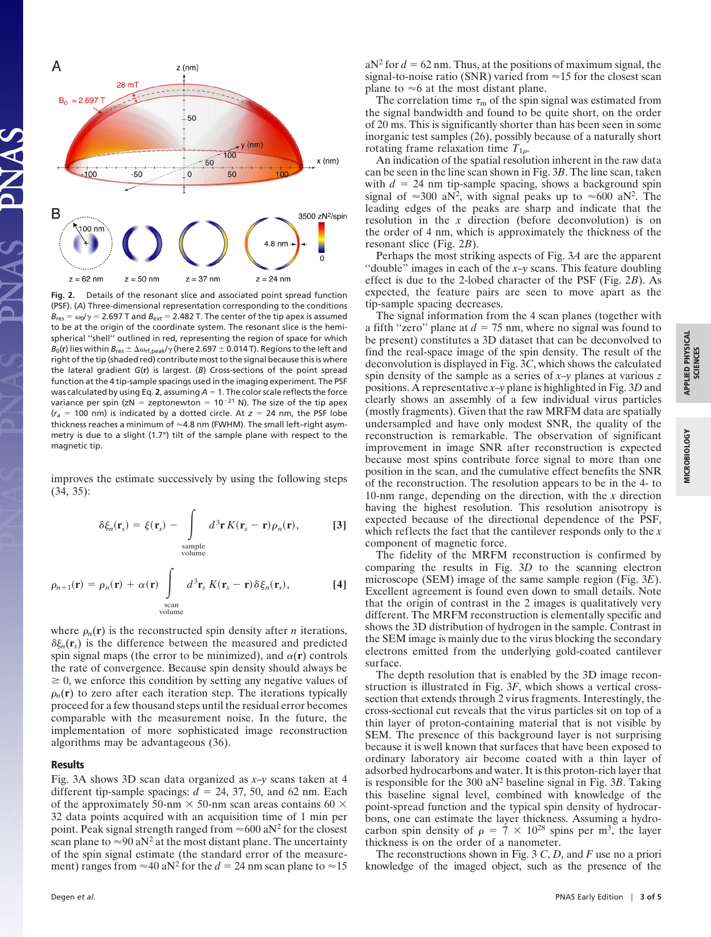

**Fig. 2.** Details of the resonant slice and associated point spread function (PSF). (*A*) Three-dimensional representation corresponding to the conditions  $B_{\text{res}} = \omega_0 / \gamma = 2.697$  T and  $B_{\text{ext}} = 2.482$  T. The center of the tip apex is assumed to be at the origin of the coordinate system. The resonant slice is the hemispherical ''shell'' outlined in red, representing the region of space for which  $B_0(\mathbf{r})$  lies within  $B_{\text{res}} \pm \Delta \omega_{\text{rf,peak}}/\gamma$  (here 2.697  $\pm$  0.014 T). Regions to the left and right of the tip (shaded red) contribute most to the signal because this is where the lateral gradient *G*(**r**) is largest. (*B*) Cross-sections of the point spread function at the 4 tip-sample spacings used in the imaging experiment. The PSF was calculated by using Eq. 2, assuming  $A = 1$ . The color scale reflects the force variance per spin (zN = zeptonewton =  $10^{-21}$  N). The size of the tip apex  $(r_a = 100 \text{ nm})$  is indicated by a dotted circle. At  $z = 24 \text{ nm}$ , the PSF lobe thickness reaches a minimum of  $\approx$  4.8 nm (FWHM). The small left-right asymmetry is due to a slight (1.7°) tilt of the sample plane with respect to the magnetic tip.

improves the estimate successively by using the following steps (34, 35):

$$
\delta \xi_n(\mathbf{r}_s) = \xi(\mathbf{r}_s) - \int_{\substack{\text{sample} \\ \text{volume}}} d^3 \mathbf{r} K(\mathbf{r}_s - \mathbf{r}) \rho_n(\mathbf{r}), \quad [3]
$$

$$
\rho_{n+1}(\mathbf{r}) = \rho_n(\mathbf{r}) + \alpha(\mathbf{r}) \int_{\text{scan} \atop \text{volume}} d^3 \mathbf{r}_s K(\mathbf{r}_s - \mathbf{r}) \delta \xi_n(\mathbf{r}_s), \tag{4}
$$

where  $\rho_n(\mathbf{r})$  is the reconstructed spin density after *n* iterations,  $\delta \xi_n(\mathbf{r}_s)$  is the difference between the measured and predicted spin signal maps (the error to be minimized), and  $\alpha(\mathbf{r})$  controls the rate of convergence. Because spin density should always be  $\geq 0$ , we enforce this condition by setting any negative values of  $\rho_n(\mathbf{r})$  to zero after each iteration step. The iterations typically proceed for a few thousand steps until the residual error becomes comparable with the measurement noise. In the future, the implementation of more sophisticated image reconstruction algorithms may be advantageous (36).

### **Results**

Fig. 3A shows 3D scan data organized as *x*–*y* scans taken at 4 different tip-sample spacings:  $d = 24, 37, 50,$  and 62 nm. Each of the approximately 50-nm  $\times$  50-nm scan areas contains 60  $\times$ 32 data points acquired with an acquisition time of 1 min per point. Peak signal strength ranged from  $\approx 600$  aN<sup>2</sup> for the closest scan plane to  $\approx 90$  aN<sup>2</sup> at the most distant plane. The uncertainty of the spin signal estimate (the standard error of the measurement) ranges from  $\approx$  40 aN<sup>2</sup> for the *d* = 24 nm scan plane to  $\approx$  15

 $aN<sup>2</sup>$  for  $d = 62$  nm. Thus, at the positions of maximum signal, the signal-to-noise ratio (SNR) varied from  $\approx$  15 for the closest scan plane to  $\approx$  6 at the most distant plane.

The correlation time  $\tau_m$  of the spin signal was estimated from the signal bandwidth and found to be quite short, on the order of 20 ms. This is significantly shorter than has been seen in some inorganic test samples (26), possibly because of a naturally short rotating frame relaxation time  $T_{1\rho}$ .

An indication of the spatial resolution inherent in the raw data can be seen in the line scan shown in Fig. 3*B*. The line scan, taken with  $d = 24$  nm tip-sample spacing, shows a background spin signal of  $\approx 300$  aN<sup>2</sup>, with signal peaks up to  $\approx 600$  aN<sup>2</sup>. The leading edges of the peaks are sharp and indicate that the resolution in the *x* direction (before deconvolution) is on the order of 4 nm, which is approximately the thickness of the resonant slice (Fig. 2*B*).

Perhaps the most striking aspects of Fig. 3*A* are the apparent "double" images in each of the  $x-y$  scans. This feature doubling effect is due to the 2-lobed character of the PSF (Fig. 2*B*). As expected, the feature pairs are seen to move apart as the tip-sample spacing decreases.

The signal information from the 4 scan planes (together with a fifth "zero" plane at  $d = 75$  nm, where no signal was found to be present) constitutes a 3D dataset that can be deconvolved to find the real-space image of the spin density. The result of the deconvolution is displayed in Fig. 3*C*, which shows the calculated spin density of the sample as a series of *x*–*y* planes at various *z* positions. A representative *x*–*y* plane is highlighted in Fig. 3*D* and clearly shows an assembly of a few individual virus particles (mostly fragments). Given that the raw MRFM data are spatially undersampled and have only modest SNR, the quality of the reconstruction is remarkable. The observation of significant improvement in image SNR after reconstruction is expected because most spins contribute force signal to more than one position in the scan, and the cumulative effect benefits the SNR of the reconstruction. The resolution appears to be in the 4- to 10-nm range, depending on the direction, with the *x* direction having the highest resolution. This resolution anisotropy is expected because of the directional dependence of the PSF, which reflects the fact that the cantilever responds only to the *x* component of magnetic force.

The fidelity of the MRFM reconstruction is confirmed by comparing the results in Fig. 3*D* to the scanning electron microscope (SEM) image of the same sample region (Fig. 3*E*). Excellent agreement is found even down to small details. Note that the origin of contrast in the 2 images is qualitatively very different. The MRFM reconstruction is elementally specific and shows the 3D distribution of hydrogen in the sample. Contrast in the SEM image is mainly due to the virus blocking the secondary electrons emitted from the underlying gold-coated cantilever surface.

The depth resolution that is enabled by the 3D image reconstruction is illustrated in Fig. 3*F*, which shows a vertical crosssection that extends through 2 virus fragments. Interestingly, the cross-sectional cut reveals that the virus particles sit on top of a thin layer of proton-containing material that is not visible by SEM. The presence of this background layer is not surprising because it is well known that surfaces that have been exposed to ordinary laboratory air become coated with a thin layer of adsorbed hydrocarbons and water. It is this proton-rich layer that is responsible for the 300  $aN^2$  baseline signal in Fig. 3*B*. Taking this baseline signal level, combined with knowledge of the point-spread function and the typical spin density of hydrocarbons, one can estimate the layer thickness. Assuming a hydrocarbon spin density of  $\rho = 7 \times 10^{28}$  spins per m<sup>3</sup>, the layer thickness is on the order of a nanometer.

The reconstructions shown in Fig. 3 *C*, *D*, and *F* use no a priori knowledge of the imaged object, such as the presence of the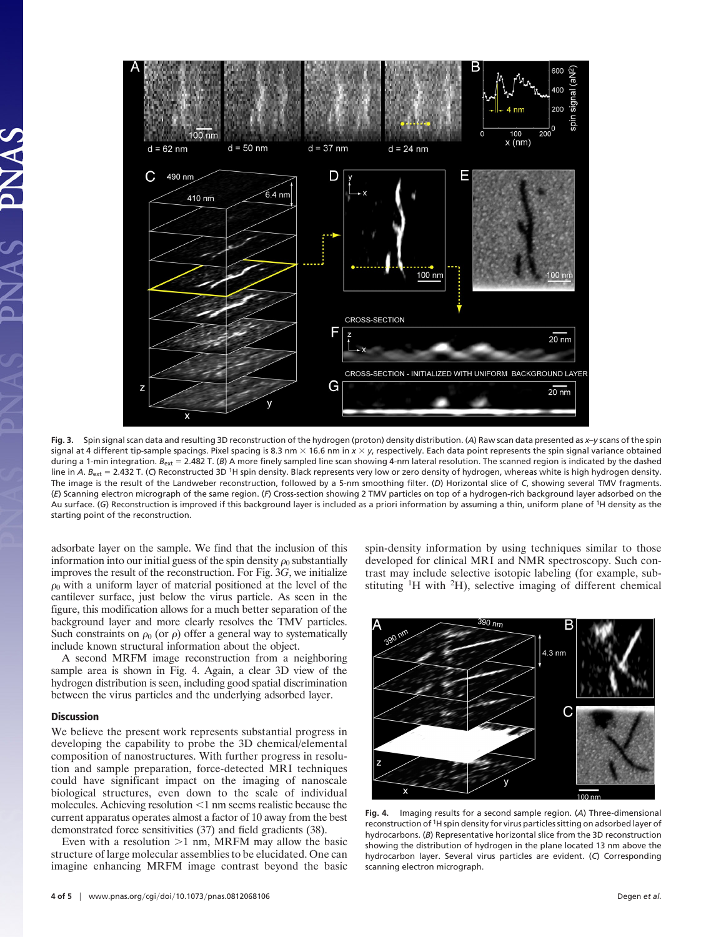

**Fig. 3.** Spin signal scan data and resulting 3D reconstruction of the hydrogen (proton) density distribution. (*A*) Raw scan data presented as *x*–*y* scans of the spin signal at 4 different tip-sample spacings. Pixel spacing is 8.3 nm  $\times$  16.6 nm in  $x \times y$ , respectively. Each data point represents the spin signal variance obtained during a 1-min integration. *B<sub>ext</sub> = 2.*482 T. (*B*) A more finely sampled line scan showing 4-nm lateral resolution. The scanned region is indicated by the dashed line in *A. B<sub>ext</sub>* = 2.432 T. (C) Reconstructed 3D <sup>1</sup>H spin density. Black represents very low or zero density of hydrogen, whereas white is high hydrogen density. The image is the result of the Landweber reconstruction, followed by a 5-nm smoothing filter. (*D*) Horizontal slice of *C*, showing several TMV fragments. (*E*) Scanning electron micrograph of the same region. (*F*) Cross-section showing 2 TMV particles on top of a hydrogen-rich background layer adsorbed on the Au surface. (*G*) Reconstruction is improved if this background layer is included as a priori information by assuming a thin, uniform plane of 1H density as the starting point of the reconstruction.

adsorbate layer on the sample. We find that the inclusion of this information into our initial guess of the spin density  $\rho_0$  substantially improves the result of the reconstruction. For Fig. 3*G*, we initialize  $\rho_0$  with a uniform layer of material positioned at the level of the cantilever surface, just below the virus particle. As seen in the figure, this modification allows for a much better separation of the background layer and more clearly resolves the TMV particles. Such constraints on  $\rho_0$  (or  $\rho$ ) offer a general way to systematically include known structural information about the object.

A second MRFM image reconstruction from a neighboring sample area is shown in Fig. 4. Again, a clear 3D view of the hydrogen distribution is seen, including good spatial discrimination between the virus particles and the underlying adsorbed layer.

## **Discussion**

We believe the present work represents substantial progress in developing the capability to probe the 3D chemical/elemental composition of nanostructures. With further progress in resolution and sample preparation, force-detected MRI techniques could have significant impact on the imaging of nanoscale biological structures, even down to the scale of individual molecules. Achieving resolution  $\leq 1$  nm seems realistic because the current apparatus operates almost a factor of 10 away from the best demonstrated force sensitivities (37) and field gradients (38).

Even with a resolution  $>1$  nm, MRFM may allow the basic structure of large molecular assemblies to be elucidated. One can imagine enhancing MRFM image contrast beyond the basic

**4 of 5**  $\parallel$  www.pnas.org/cgi/doi/10.1073/pnas.0812068106 Degen *et al.* 

spin-density information by using techniques similar to those developed for clinical MRI and NMR spectroscopy. Such contrast may include selective isotopic labeling (for example, substituting 1H with 2H), selective imaging of different chemical



**Fig. 4.** Imaging results for a second sample region. (*A*) Three-dimensional reconstruction of 1H spin density for virus particles sitting on adsorbed layer of hydrocarbons. (*B*) Representative horizontal slice from the 3D reconstruction showing the distribution of hydrogen in the plane located 13 nm above the hydrocarbon layer. Several virus particles are evident. (*C*) Corresponding scanning electron micrograph.